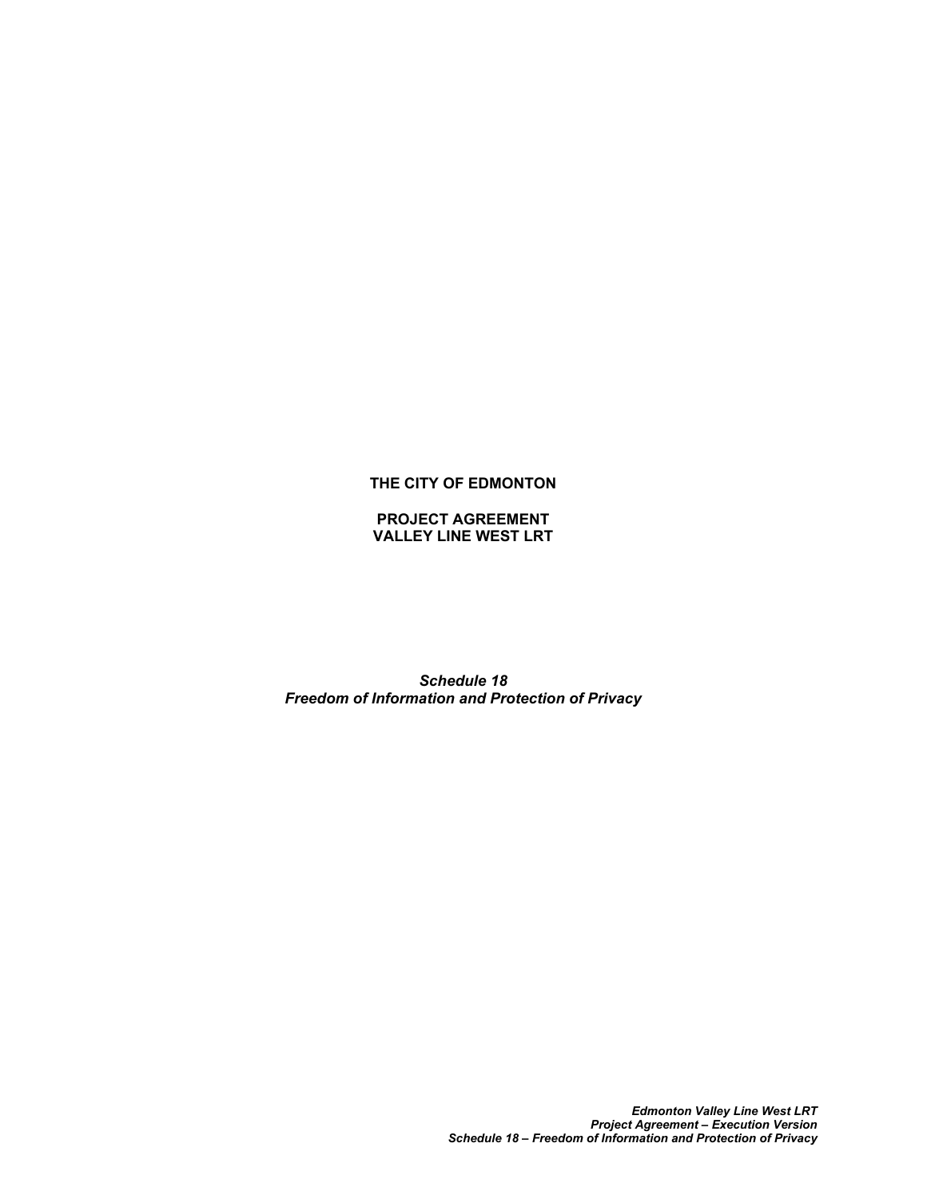## **THE CITY OF EDMONTON**

**PROJECT AGREEMENT VALLEY LINE WEST LRT**

*Schedule 18 Freedom of Information and Protection of Privacy*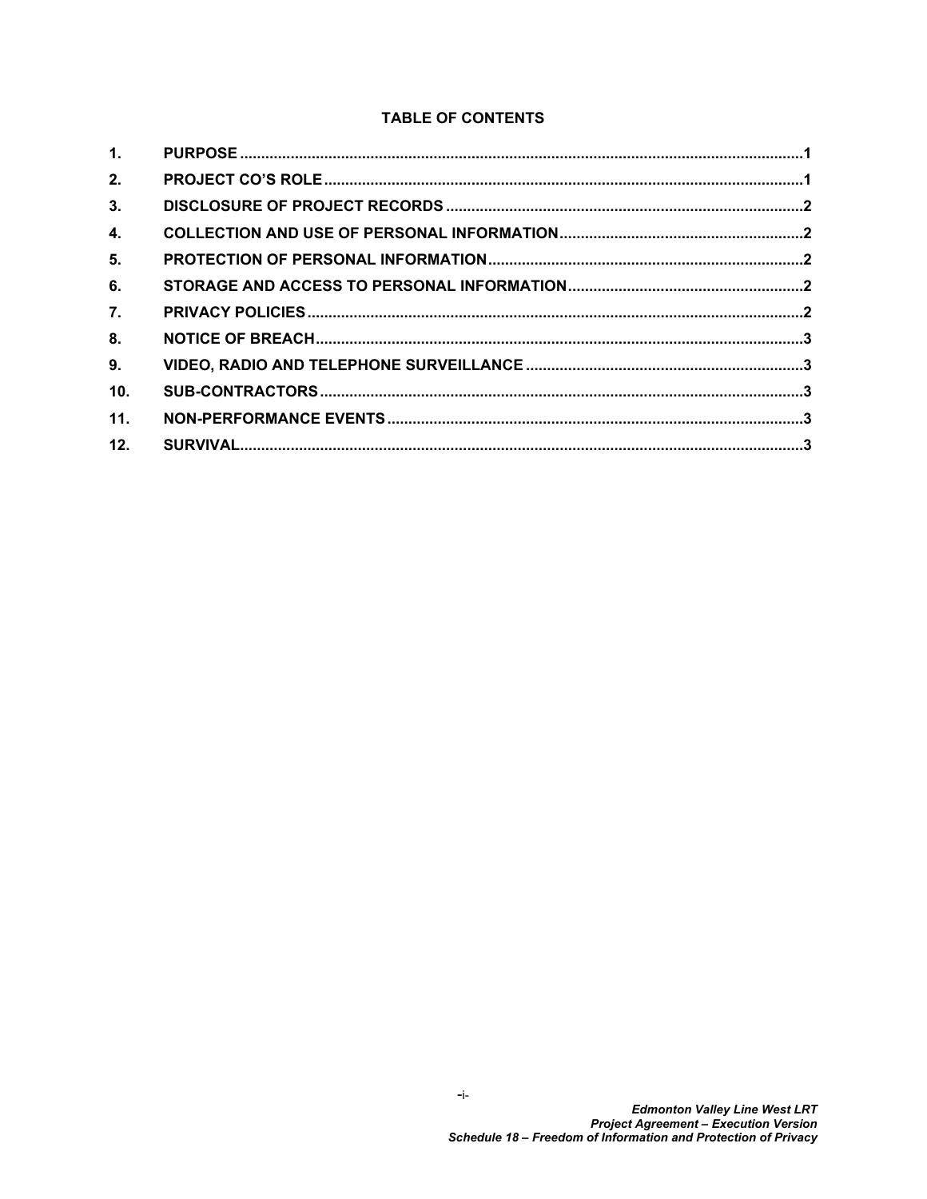# **TABLE OF CONTENTS**

| 1 <sub>1</sub> |  |
|----------------|--|
| 2.             |  |
| 3.             |  |
| 4.             |  |
| 5.             |  |
| 6.             |  |
| 7.             |  |
| 8.             |  |
| 9.             |  |
| 10.            |  |
| 11.            |  |
| 12.            |  |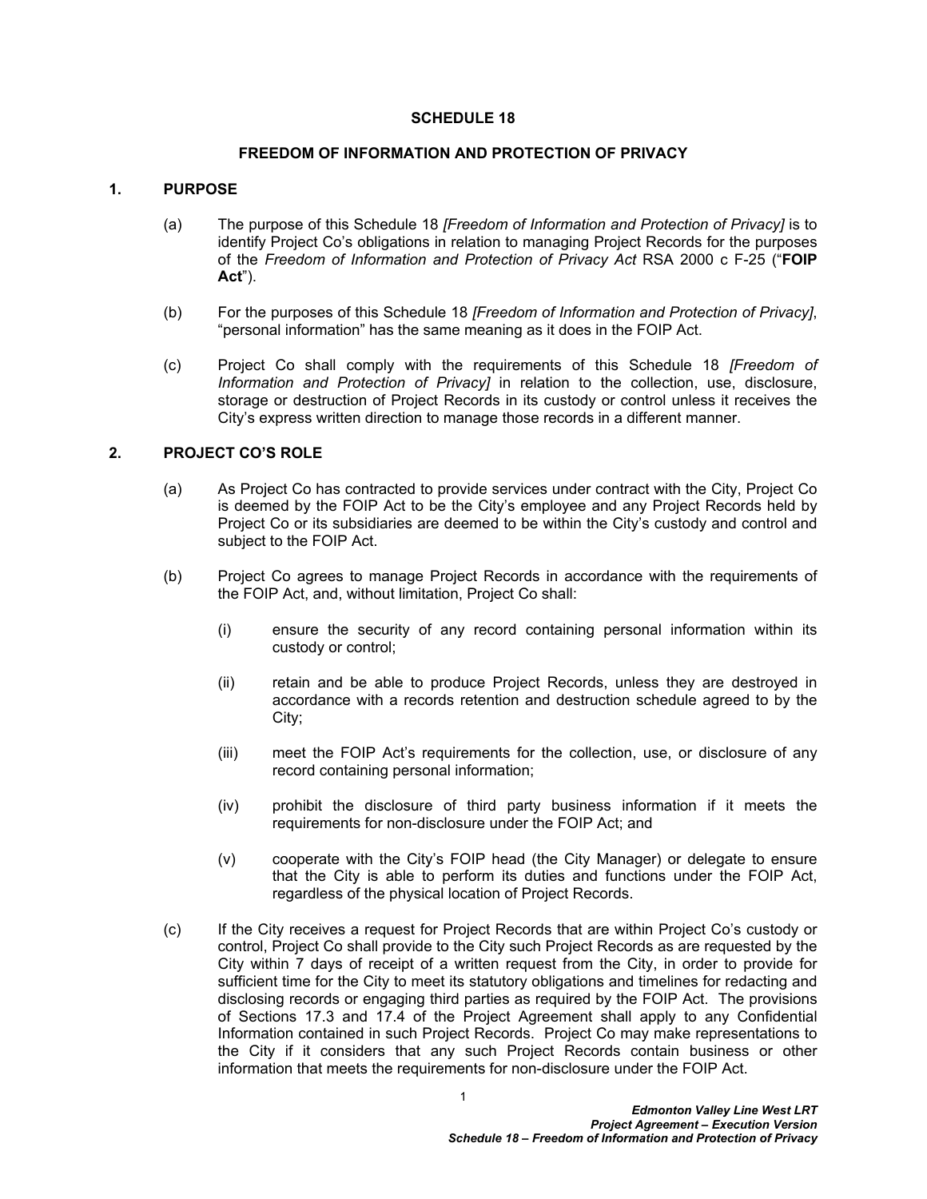#### **SCHEDULE 18**

#### **FREEDOM OF INFORMATION AND PROTECTION OF PRIVACY**

#### <span id="page-2-0"></span>**1. PURPOSE**

- (a) The purpose of this Schedule 18 *[Freedom of Information and Protection of Privacy]* is to identify Project Co's obligations in relation to managing Project Records for the purposes of the *Freedom of Information and Protection of Privacy Act* RSA 2000 c F-25 ("**FOIP Act**").
- (b) For the purposes of this Schedule 18 *[Freedom of Information and Protection of Privacy]*, "personal information" has the same meaning as it does in the FOIP Act.
- (c) Project Co shall comply with the requirements of this Schedule 18 *[Freedom of Information and Protection of Privacy]* in relation to the collection, use, disclosure, storage or destruction of Project Records in its custody or control unless it receives the City's express written direction to manage those records in a different manner.

#### <span id="page-2-1"></span>**2. PROJECT CO'S ROLE**

- (a) As Project Co has contracted to provide services under contract with the City, Project Co is deemed by the FOIP Act to be the City's employee and any Project Records held by Project Co or its subsidiaries are deemed to be within the City's custody and control and subject to the FOIP Act.
- (b) Project Co agrees to manage Project Records in accordance with the requirements of the FOIP Act, and, without limitation, Project Co shall:
	- (i) ensure the security of any record containing personal information within its custody or control;
	- (ii) retain and be able to produce Project Records, unless they are destroyed in accordance with a records retention and destruction schedule agreed to by the City;
	- (iii) meet the FOIP Act's requirements for the collection, use, or disclosure of any record containing personal information;
	- (iv) prohibit the disclosure of third party business information if it meets the requirements for non-disclosure under the FOIP Act; and
	- (v) cooperate with the City's FOIP head (the City Manager) or delegate to ensure that the City is able to perform its duties and functions under the FOIP Act, regardless of the physical location of Project Records.
- <span id="page-2-2"></span>(c) If the City receives a request for Project Records that are within Project Co's custody or control, Project Co shall provide to the City such Project Records as are requested by the City within 7 days of receipt of a written request from the City, in order to provide for sufficient time for the City to meet its statutory obligations and timelines for redacting and disclosing records or engaging third parties as required by the FOIP Act. The provisions of Sections 17.3 and 17.4 of the Project Agreement shall apply to any Confidential Information contained in such Project Records. Project Co may make representations to the City if it considers that any such Project Records contain business or other information that meets the requirements for non-disclosure under the FOIP Act.

1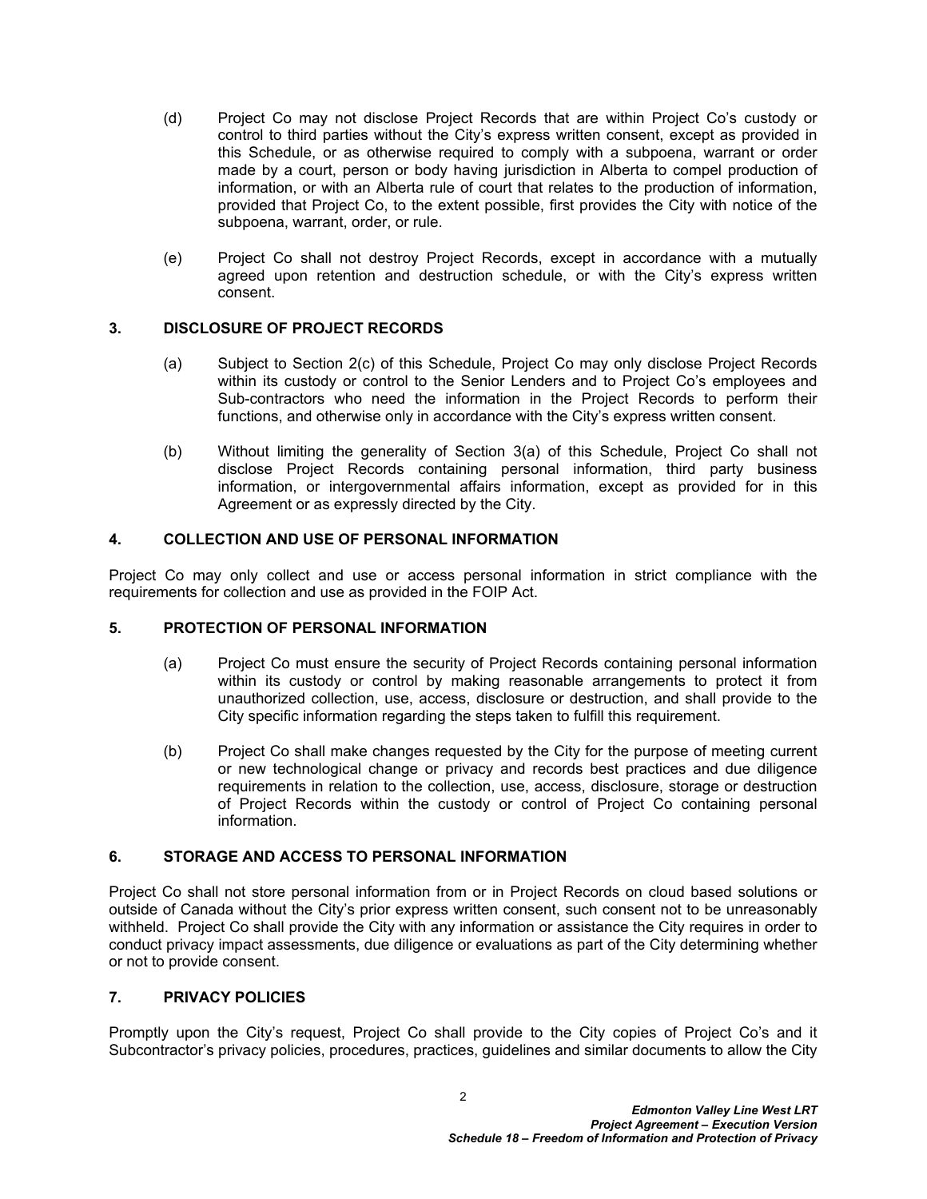- (d) Project Co may not disclose Project Records that are within Project Co's custody or control to third parties without the City's express written consent, except as provided in this Schedule, or as otherwise required to comply with a subpoena, warrant or order made by a court, person or body having jurisdiction in Alberta to compel production of information, or with an Alberta rule of court that relates to the production of information, provided that Project Co, to the extent possible, first provides the City with notice of the subpoena, warrant, order, or rule.
- (e) Project Co shall not destroy Project Records, except in accordance with a mutually agreed upon retention and destruction schedule, or with the City's express written consent.

## <span id="page-3-0"></span>**3. DISCLOSURE OF PROJECT RECORDS**

- <span id="page-3-5"></span>(a) Subject to Section [2\(c\)](#page-2-2) of this Schedule, Project Co may only disclose Project Records within its custody or control to the Senior Lenders and to Project Co's employees and Sub-contractors who need the information in the Project Records to perform their functions, and otherwise only in accordance with the City's express written consent.
- (b) Without limiting the generality of Section [3\(a\)](#page-3-5) of this Schedule, Project Co shall not disclose Project Records containing personal information, third party business information, or intergovernmental affairs information, except as provided for in this Agreement or as expressly directed by the City.

## <span id="page-3-1"></span>**4. COLLECTION AND USE OF PERSONAL INFORMATION**

Project Co may only collect and use or access personal information in strict compliance with the requirements for collection and use as provided in the FOIP Act.

#### <span id="page-3-2"></span>**5. PROTECTION OF PERSONAL INFORMATION**

- (a) Project Co must ensure the security of Project Records containing personal information within its custody or control by making reasonable arrangements to protect it from unauthorized collection, use, access, disclosure or destruction, and shall provide to the City specific information regarding the steps taken to fulfill this requirement.
- (b) Project Co shall make changes requested by the City for the purpose of meeting current or new technological change or privacy and records best practices and due diligence requirements in relation to the collection, use, access, disclosure, storage or destruction of Project Records within the custody or control of Project Co containing personal information.

### <span id="page-3-3"></span>**6. STORAGE AND ACCESS TO PERSONAL INFORMATION**

Project Co shall not store personal information from or in Project Records on cloud based solutions or outside of Canada without the City's prior express written consent, such consent not to be unreasonably withheld. Project Co shall provide the City with any information or assistance the City requires in order to conduct privacy impact assessments, due diligence or evaluations as part of the City determining whether or not to provide consent.

#### <span id="page-3-4"></span>**7. PRIVACY POLICIES**

Promptly upon the City's request, Project Co shall provide to the City copies of Project Co's and it Subcontractor's privacy policies, procedures, practices, guidelines and similar documents to allow the City